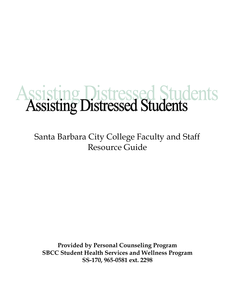# Assisting Distressed Students

Santa Barbara City College Faculty and Staff Resource Guide

**Provided by Personal Counseling Program SBCC Student Health Services and Wellness Program SS-170, 965-0581 ext. 2298**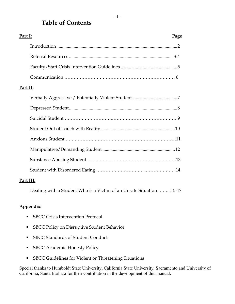## **Table of Contents**

| Part I:  |  | Page |
|----------|--|------|
|          |  |      |
|          |  |      |
|          |  |      |
|          |  |      |
| Part II: |  |      |
|          |  |      |
|          |  |      |
|          |  |      |
|          |  |      |
|          |  |      |
|          |  |      |
|          |  |      |
|          |  |      |
|          |  |      |

#### **Part III:**

Dealing with a Student Who is a Victim of an Unsafe Situation ……...15-17

#### **Appendix:**

- **SBCC Crisis Intervention Protocol**
- **SBCC Policy on Disruptive Student Behavior**
- SBCC Standards of Student Conduct
- **SBCC** Academic Honesty Policy
- SBCC Guidelines for Violent or Threatening Situations

Special thanks to Humboldt State University, California State University, Sacramento and University of California, Santa Barbara for their contribution in the development of this manual.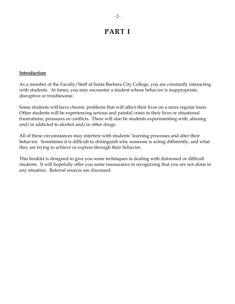## **PART I**

#### **Introduction**

As a member of the Faculty/Staff at Santa Barbara City College, you are constantly interacting with students. At times, you may encounter a student whose behavior is inappropriate, disruptive or troublesome.

Some students will have chronic problems that will affect their lives on a more regular basis. Other students will be experiencing serious and painful crises in their lives or situational frustrations, pressures or conflicts. There will also be students experimenting with, abusing and/or addicted to alcohol and/or other drugs.

All of these circumstances may interfere with students' learning processes and alter their behavior. Sometimes it is difficult to distinguish why someone is acting differently, and what they are trying to achieve or express through their behavior.

This booklet is designed to give you some techniques in dealing with distressed or difficult students. It will hopefully offer you some reassurance in recognizing that you are not alone in any situation. Referral sources are discussed.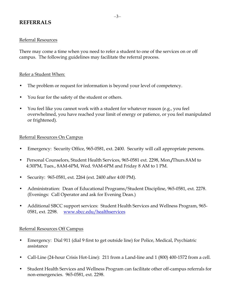## **REFERRALS**

#### Referral Resources

There may come a time when you need to refer a student to one of the services on or off campus. The following guidelines may facilitate the referral process.

#### Refer a Student When:

- The problem or request for information is beyond your level of competency.
- You fear for the safety of the student or others.
- You feel like you cannot work with a student for whatever reason (e.g., you feel overwhelmed, you have reached your limit of energy or patience, or you feel manipulated or frightened).

#### Referral Resources On Campus

- Emergency: Security Office, 965-0581, ext. 2400. Security will call appropriate persons.
- Personal Counselors, Student Health Services, 965-0581 ext. 2298, Mon.**/**Thurs.8AM to 4:30PM, Tues., 8AM-6PM, Wed. 9AM-6PM and Friday 8 AM to 1 PM.
- Security: 965-0581, ext. 2264 (ext. 2400 after 4:00 PM).
- Administration: Dean of Educational Programs/Student Discipline, 965-0581, ext. 2278. (Evenings: Call Operator and ask for Evening Dean.)
- Additional SBCC support services: Student Health Services and Wellness Program, 965-0581, ext. 2298. [www.sbcc.edu/healthservices](http://www.sbcc.edu/healthservices)

#### Referral Resources Off Campus

- Emergency: Dial 911 (dial 9 first to get outside line) for Police, Medical, Psychiatric assistance
- Call-Line (24-hour Crisis Hot-Line): 211 from a Land-line and 1 (800) 400-1572 from a cell.
- Student Health Services and Wellness Program can facilitate other off-campus referrals for non-emergencies. 965-0581, ext. 2298.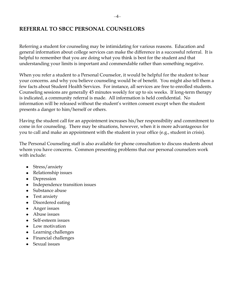## **REFERRAL TO SBCC PERSONAL COUNSELORS**

Referring a student for counseling may be intimidating for various reasons. Education and general information about college services can make the difference in a successful referral. It is helpful to remember that you are doing what you think is best for the student and that understanding your limits is important and commendable rather than something negative.

When you refer a student to a Personal Counselor, it would be helpful for the student to hear your concerns. and why you believe counseling would be of benefit. You might also tell them a few facts about Student Health Services. For instance, all services are free to enrolled students. Counseling sessions are generally 45 minutes weekly for up to six weeks. If long-term therapy is indicated, a community referral is made. All information is held confidential. No information will be released without the student's written consent except when the student presents a danger to him/herself or others.

Having the student call for an appointment increases his/her responsibility and commitment to come in for counseling. There may be situations, however, when it is more advantageous for you to call and make an appointment with the student in your office (e.g., student in crisis).

The Personal Counseling staff is also available for phone consultation to discuss students about whom you have concerns. Common presenting problems that our personal counselors work with include:

- $\bullet$ Stress/anxiety
- Relationship issues
- Depression
- Independence transition issues
- Substance abuse
- Test anxiety
- Disordered eating
- Anger issues
- Abuse issues
- Self-esteem issues
- Low motivation
- Learning challenges
- Financial challenges
- Sexual issues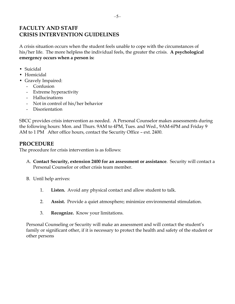## **FACULTY AND STAFF CRISIS INTERVENTION GUIDELINES**

A crisis situation occurs when the student feels unable to cope with the circumstances of his/her life. The more helpless the individual feels, the greater the crisis. **A psychological emergency occurs when a person is:**

- Suicidal
- Homicidal
- Gravely Impaired:
	- Confusion
	- Extreme hyperactivity
	- Hallucinations
	- Not in control of his/her behavior
	- Disorientation

SBCC provides crisis intervention as needed. A Personal Counselor makes assessments during the following hours: Mon. and Thurs. 9AM to 4PM, Tues. and Wed., 9AM-6PM and Friday 9 AM to 1 PM After office hours, contact the Security Office – ext. 2400.

## **PROCEDURE**

The procedure for crisis intervention is as follows:

- A. **Contact Security, extension 2400 for an assessment or assistance**. Security will contact a Personal Counselor or other crisis team member.
- B. Until help arrives:
	- 1. **Listen.** Avoid any physical contact and allow student to talk.
	- 2. **Assist.** Provide a quiet atmosphere; minimize environmental stimulation.
	- 3. **Recognize.** Know your limitations.

Personal Counseling or Security will make an assessment and will contact the student's family or significant other, if it is necessary to protect the health and safety of the student or other persons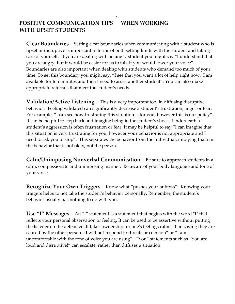## POSITIVE COMMUNICATION TIPS WHEN WORKING **WITH UPSET STUDENTS**

**Clear Boundaries –** Setting clear boundaries when communicating with a student who is upset or disruptive is important in terms of both setting limits with the student and taking care of yourself. If you are dealing with an angry student you might say "I understand that you are angry, but it would be easier for us to talk if you would lower your voice". Boundaries are also important when dealing with students who demand too much of your time. To set this boundary you might say, "I see that you want a lot of help right now. I am available for ten minutes and then I need to assist another student". You can also make appropriate referrals that meet the student's needs.

**Validation/Active Listening –** This is a very important tool in diffusing disruptive behavior. Feeling validated can significantly decrease a student's frustration, anger or fear. For example, "I can see how frustrating this situation is for you, however this is our policy". It can be helpful to step back and imagine being in the student's shoes. Underneath a student's aggression is often frustration or fear. It may be helpful to say "I can imagine that this situation is very frustrating for you, however your behavior is not appropriate and I need to ask you to stop". This separates the behavior from the individual, implying that it is the behavior that is not okay, not the person.

**Calm/Unimposing Nonverbal Communication -** Be sure to approach students in a calm, compassionate and unimposing manner. Be aware of your body language and tone of your voice.

**Recognize Your Own Triggers –** Know what "pushes your buttons". Knowing your triggers helps to not take the student's behavior personally. Remember, the student's behavior usually has nothing to do with you.

**Use "I" Messages –** An "I" statement is a statement that begins with the word "I" that reflects your personal observation or feeling. It can be used to be assertive without putting the listener on the defensive. It takes ownership for one's feelings rather than saying they are caused by the other person. "I will not respond to threats or coercion" or "I am uncomfortable with the tone of voice you are using". "You" statements such as "You are loud and disruptive!" can escalate, rather than diffuses a situation.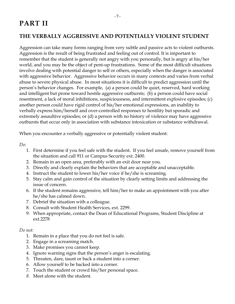#### –7–

# **PART II**

## **THE VERBALLY AGGRESSIVE AND POTENTIALLY VIOLENT STUDENT**

Aggression can take many forms ranging from very subtle and passive acts to violent outbursts. Aggression is the result of being frustrated and feeling out of control. It is important to remember that the student is generally not angry with you personally, but is angry at his/her world, and you may be the object of pent-up frustrations. Some of the most difficult situations involve dealing with potential danger to self or others, especially when the danger is associated with aggressive behavior. Aggressive behavior occurs in many contexts and varies from verbal abuse to severe physical abuse. In most situations it is difficult to predict aggression until the person's behavior changes. For example, (a) a person could be quiet, reserved, hard working and intelligent but prone toward hostile aggressive outbursts; (b) a person could have social resentment, a lack of moral inhibitions, suspiciousness, and intermittent explosive episodes; (c) another person could have rigid control of his/her emotional expressions, an inability to verbally express him/herself and over-controlled responses to hostility but sporadic and extremely assaultive episodes; or (d) a person with no history of violence may have aggressive outbursts that occur only in association with substance intoxication or substance withdrawal.

When you encounter a verbally aggressive or potentially violent student:

*Do:*

- 1. First determine if you feel safe with the student. If you feel unsafe, remove yourself from the situation and call 911 or Campus Security ext. 2400.
- 2. Remain in an open area, preferably with an exit door near you.
- 3. Directly and clearly explain the behaviors that are acceptable and unacceptable.
- 4. Instruct the student to lower his/her voice if he/she is screaming.
- 5. Stay calm and gain control of the situation by clearly setting limits and addressing the issue of concern.
- 6. If the student remains aggressive, tell him/her to make an appointment with you after he/she has calmed down.
- 7. Debrief the situation with a colleague.
- 8. Consult with Student Health Services, ext. 2299.
- 9. When appropriate, contact the Dean of Educational Programs, Student Discipline at ext.2278

- 1. Remain in a place that you do not feel is safe.
- 2. Engage in a screaming match.
- 3. Make promises you cannot keep.
- 4. Ignore warning signs that the person's anger is escalating.
- 5. Threaten, dare, taunt or back a student into a corner.
- 6. Allow yourself to be backed into a corner.
- 7. Touch the student or crowd his/her personal space.
- *8.* Meet alone with the student.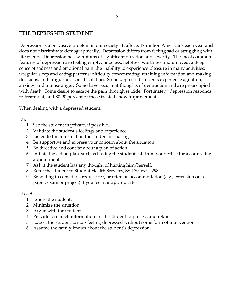## **THE DEPRESSED STUDENT**

Depression is a pervasive problem in our society. It affects 17 million Americans each year and does not discriminate demographically. Depression differs from feeling sad or struggling with life events. Depression has symptoms of significant duration and severity. The most common features of depression are feeling empty, hopeless, helpless, worthless and unloved; a deep sense of sadness and emotional pain; the inability to experience pleasure in many activities; irregular sleep and eating patterns; difficulty concentrating, retaining information and making decisions; and fatigue and social isolation. Some depressed students experience agitation, anxiety, and intense anger. Some have recurrent thoughts of destruction and are preoccupied with death. Some desire to escape the pain through suicide. Fortunately, depression responds to treatment, and 80-90 percent of those treated show improvement.

When dealing with a depressed student:

*Do:*

- 1. See the student in private, if possible.
- 2. Validate the student's feelings and experience.
- 3. Listen to the information the student is sharing.
- 4. Be supportive and express your concern about the situation.
- 5. Be directive and concise about a plan of action.
- 6. Initiate the action plan, such as having the student call from your office for a counseling appointment.
- 7. Ask if the student has any thought of hurting him/herself.
- 8. Refer the student to Student Health Services, SS-170, ext. 2298
- 9. Be willing to consider a request for, or offer, an accommodation (e.g., extension on a paper, exam or project) if you feel it is appropriate.

- 1. Ignore the student.
- 2. Minimize the situation.
- 3. Argue with the student.
- 4. Provide too much information for the student to process and retain.
- 5. Expect the student to stop feeling depressed without some form of intervention.
- 6. Assume the family knows about the student's depression.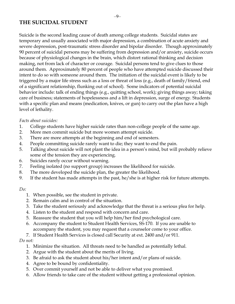## **THE SUICIDAL STUDENT**

Suicide is the second leading cause of death among college students. Suicidal states are temporary and usually associated with major depression, a combination of acute anxiety and severe depression, post-traumatic stress disorder and bipolar disorder. Though approximately 90 percent of suicidal persons may be suffering from depression and/or anxiety, suicide occurs because of physiological changes in the brain, which distort rational thinking and decision making, not from lack of character or courage. Suicidal persons tend to give clues to those around them. Approximately 80 percent of people who have attempted suicide discussed their intent to do so with someone around them. The initiation of the suicidal event is likely to be triggered by a major life stress such as a loss or threat of loss (e.g., death of family/friend, end of a significant relationship, flunking out of school). Some indicators of potential suicidal behavior include: talk of ending things (e.g., quitting school, work); giving things away; taking care of business; statements of hopelessness and a lift in depression, surge of energy. Students with a specific plan and means (medication, knives, or gun) to carry out the plan have a high level of lethality.

#### *Facts about suicides:*

- 1. College students have higher suicide rates than non-college people of the same age.
- 2. More men commit suicide but more women attempt suicide.
- 3. There are more attempts at the beginning and end of semesters.
- 4. People committing suicide rarely want to die; they want to end the pain.
- 5. Talking about suicide will not plant the idea in a person's mind, but will probably relieve some of the tension they are experiencing.
- 6. Suicides rarely occur without warning.
- 7. Feeling isolated (no support group) increases the likelihood for suicide.
- 8. The more developed the suicide plan, the greater the likelihood.
- 9. If the student has made attempts in the past, he/she is at higher risk for future attempts.

#### *Do:*

- 1. When possible, see the student in private.
- 2. Remain calm and in control of the situation.
- 3. Take the student seriously and acknowledge that the threat is a serious plea for help.
- 4. Listen to the student and respond with concern and care.
- 5. Reassure the student that you will help him/her find psychological care.
- 6. Accompany the student to Student Health Services, SS-170. If you are unable to accompany the student, you may request that a counselor come to your office.
- 7. If Student Health Services is closed call Security at ext. 2400 and/or 911.

- 1. Minimize the situation. All threats need to be handled as potentially lethal.
- 2. Argue with the student about the merits of living.
- 3. Be afraid to ask the student about his/her intent and/or plans of suicide.
- 4. Agree to be bound by confidentiality.
- 5. Over commit yourself and not be able to deliver what you promised.
- 6. Allow friends to take care of the student without getting a professional opinion.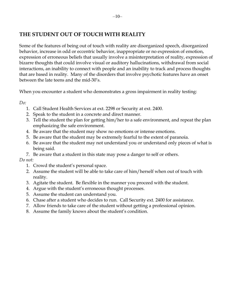## **THE STUDENT OUT OF TOUCH WITH REALITY**

Some of the features of being out of touch with reality are disorganized speech, disorganized behavior, increase in odd or eccentric behavior, inappropriate or no expression of emotion, expression of erroneous beliefs that usually involve a misinterpretation of reality, expression of bizarre thoughts that could involve visual or auditory hallucinations, withdrawal from social interactions, an inability to connect with people and an inability to track and process thoughts that are based in reality. Many of the disorders that involve psychotic features have an onset between the late teens and the mid-30's.

When you encounter a student who demonstrates a gross impairment in reality testing:

*Do:* 

- 1. Call Student Health Services at ext. 2298 or Security at ext. 2400.
- 2. Speak to the student in a concrete and direct manner.
- 3. Tell the student the plan for getting him/her to a safe environment, and repeat the plan emphasizing the safe environment.
- 4. Be aware that the student may show no emotions or intense emotions.
- 5. Be aware that the student may be extremely fearful to the extent of paranoia.
- 6. Be aware that the student may not understand you or understand only pieces of what is being said.
- 7. Be aware that a student in this state may pose a danger to self or others.

- 1. Crowd the student's personal space.
- 2. Assume the student will be able to take care of him/herself when out of touch with reality.
- 3. Agitate the student. Be flexible in the manner you proceed with the student.
- 4. Argue with the student's erroneous thought processes.
- 5. Assume the student can understand you.
- 6. Chase after a student who decides to run. Call Security ext. 2400 for assistance.
- 7. Allow friends to take care of the student without getting a professional opinion.
- 8. Assume the family knows about the student's condition.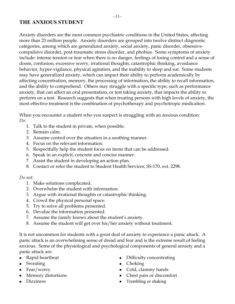## **THE ANXIOUS STUDENT**

Anxiety disorders are the most common psychiatric conditions in the United States, affecting more than 23 million people. Anxiety disorders are grouped into twelve distinct diagnostic categories, among which are generalized anxiety, social anxiety, panic disorder, obsessivecompulsive disorder, post-traumatic stress disorder, and phobias. Some symptoms of anxiety include: intense tension or fear when there is no danger, feelings of losing control and a sense of doom, confusion, excessive worry, irrational thoughts, catastrophic thinking, avoidance behavior, hyper-vigilance, physical agitation, and the inability to sleep and eat. Some students may have generalized anxiety, which can impact their ability to perform academically by affecting concentration, memory, the processing of information, the ability to recall information, and the ability to comprehend. Others may struggle with a specific type, such as performance anxiety, that can affect an oral presentation, or test taking anxiety, that impacts the ability to perform on a test. Research suggests that when treating persons with high levels of anxiety, the most effective treatment is the combination of psychotherapy and psychotropic medication.

When you encounter a student who you suspect is struggling with an anxious condition: *Do:*

- 1. Talk to the student in private, when possible.
- 2. Remain calm.
- 3. Assume control over the situation in a soothing manner.
- 4. Focus on the relevant information.
- 5. Respectfully help the student focus on items that can be addressed.
- 6. Speak in an explicit, concrete and concise manner.
- 7. Assist the student in developing an action plan.
- 8. Contact or refer the student to Student Health Services, SS-170, ext. 2298.

#### *Do not:*

- 1. Make solutions complicated.
- 2. Overwhelm the student with information.
- 3. Argue with irrational thoughts or catastrophic thinking.
- 4. Crowd the physical personal space.
- 5. Try to solve all problems presented.
- 6. Devalue the information presented.
- 7. Assume the family knows about the student's anxiety.
- 8. Assume the student will get over his/her anxiety without treatment.

It is not uncommon for students with a great deal of anxiety to experience a panic attack. A panic attack is an overwhelming sense of dread and fear and is the extreme result of feeling anxious. Some of the physiological and psychological components of general anxiety and a panic attack are:

- $\bullet$ Rapid heartbeat
- Sweating
- Fear/worry
- Memory distortions
- Dizziness
- Difficulty concentrating
- Choking
- Cold, clammy hands
- Chest pain or discomfort
- Trembling or shaking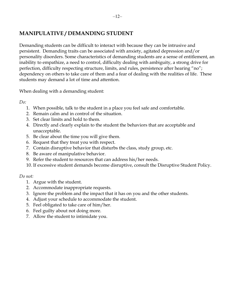## **MANIPULATIVE / DEMANDING STUDENT**

Demanding students can be difficult to interact with because they can be intrusive and persistent. Demanding traits can be associated with anxiety, agitated depression and/or personality disorders. Some characteristics of demanding students are a sense of entitlement, an inability to empathize, a need to control, difficulty dealing with ambiguity, a strong drive for perfection, difficulty respecting structure, limits, and rules, persistence after hearing "no"; dependency on others to take care of them and a fear of dealing with the realities of life. These students may demand a lot of time and attention.

When dealing with a demanding student:

*Do:*

- 1. When possible, talk to the student in a place you feel safe and comfortable.
- 2. Remain calm and in control of the situation.
- 3. Set clear limits and hold to them.
- 4. Directly and clearly explain to the student the behaviors that are acceptable and unacceptable.
- 5. Be clear about the time you will give them.
- 6. Request that they treat you with respect.
- 7. Contain disruptive behavior that disturbs the class, study group, etc.
- 8. Be aware of manipulative behavior.
- 9. Refer the student to resources that can address his/her needs.
- 10. If excessive student demands become disruptive, consult the Disruptive Student Policy.

- 1. Argue with the student.
- 2. Accommodate inappropriate requests.
- 3. Ignore the problem and the impact that it has on you and the other students.
- 4. Adjust your schedule to accommodate the student.
- 5. Feel obligated to take care of him/her.
- 6. Feel guilty about not doing more.
- 7. Allow the student to intimidate you.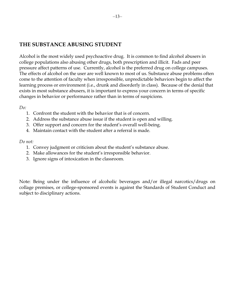## **THE SUBSTANCE ABUSING STUDENT**

Alcohol is the most widely used psychoactive drug. It is common to find alcohol abusers in college populations also abusing other drugs, both prescription and illicit. Fads and peer pressure affect patterns of use. Currently, alcohol is the preferred drug on college campuses. The effects of alcohol on the user are well known to most of us. Substance abuse problems often come to the attention of faculty when irresponsible, unpredictable behaviors begin to affect the learning process or environment (i.e., drunk and disorderly in class). Because of the denial that exists in most substance abusers, it is important to express your concern in terms of specific changes in behavior or performance rather than in terms of suspicions.

#### *Do:*

- 1. Confront the student with the behavior that is of concern.
- 2. Address the substance abuse issue if the student is open and willing.
- 3. Offer support and concern for the student's overall well-being.
- 4. Maintain contact with the student after a referral is made.

#### *Do not:*

- 1. Convey judgment or criticism about the student's substance abuse.
- 2. Make allowances for the student's irresponsible behavior.
- 3. Ignore signs of intoxication in the classroom.

Note: Being under the influence of alcoholic beverages and/or illegal narcotics/drugs on collage premises, or college-sponsored events is against the Standards of Student Conduct and subject to disciplinary actions.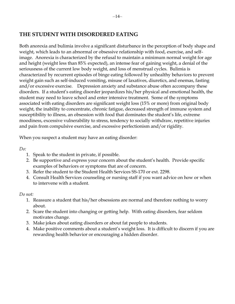## **THE STUDENT WITH DISORDERED EATING**

Both anorexia and bulimia involve a significant disturbance in the perception of body shape and weight, which leads to an abnormal or obsessive relationship with food, exercise, and selfimage. Anorexia is characterized by the refusal to maintain a minimum normal weight for age and height (weight less than 85% expected), an intense fear of gaining weight, a denial of the seriousness of the current low body weight, and loss of menstrual cycles. Bulimia is characterized by recurrent episodes of binge eating followed by unhealthy behaviors to prevent weight gain such as self-induced vomiting, misuse of laxatives, diuretics, and enemas, fasting and/or excessive exercise. Depression anxiety and substance abuse often accompany these disorders. If a student's eating disorder jeopardizes his/her physical and emotional health, the student may need to leave school and enter intensive treatment. Some of the symptoms associated with eating disorders are significant weight loss (15% or more) from original body weight, the inability to concentrate, chronic fatigue, decreased strength of immune system and susceptibility to illness, an obsession with food that dominates the student's life, extreme moodiness, excessive vulnerability to stress, tendency to socially withdraw, repetitive injuries and pain from compulsive exercise, and excessive perfectionism and/or rigidity.

When you suspect a student may have an eating disorder:

*Do:* 

- 1. Speak to the student in private, if possible.
- 2. Be supportive and express your concern about the student's health. Provide specific examples of behaviors or symptoms that are of concern.
- 3. Refer the student to the Student Health Services SS-170 or ext. 2298.
- 4. Consult Health Services counseling or nursing staff if you want advice on how or when to intervene with a student.

- 1. Reassure a student that his/her obsessions are normal and therefore nothing to worry about.
- 2. Scare the student into changing or getting help. With eating disorders, fear seldom motivates change.
- 3. Make jokes about eating disorders or about fat people to students.
- 4. Make positive comments about a student's weight loss. It is difficult to discern if you are rewarding health behavior or encouraging a hidden disorder.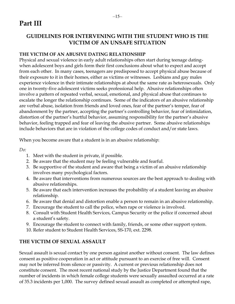# **Part III**

## **GUIDELINES FOR INTERVENING WITH THE STUDENT WHO IS THE VICTIM OF AN UNSAFE SITUATION**

#### **THE VICTIM OF AN ABUSIVE DATING RELATIONSHIP**

Physical and sexual violence in early adult relationships often start during teenage datingwhen adolescent boys and girls form their first conclusions about what to expect and accept from each other. In many cases, teenagers are predisposed to accept physical abuse because of their exposure to it in their homes, either as victims or witnesses. Lesbians and gay males experience violence in their intimate relationships at about the same rate as heterosexuals. Only one in twenty-five adolescent victims seeks professional help. Abusive relationships often involve a pattern of repeated verbal, sexual, emotional, and physical abuse that continues to escalate the longer the relationship continues. Some of the indicators of an abusive relationship are verbal abuse, isolation from friends and loved ones, fear of the partner's temper, fear of abandonment by the partner, accepting the partner's controlling behavior, fear of intimidation, distortion of the partner's hurtful behavior, assuming responsibility for the partner's abusive behavior, feeling trapped and fear of leaving the abusive partner. Some abusive relationships include behaviors that are in violation of the college codes of conduct and/or state laws.

When you become aware that a student is in an abusive relationship:

*Do:*

- 1. Meet with the student in private, if possible.
- 2. Be aware that the student may be feeling vulnerable and fearful.
- 3. Be supportive of the student and aware that being a victim of an abusive relationship involves many psychological factors.
- 4. Be aware that interventions from numerous sources are the best approach to dealing with abusive relationships.
- 5. Be aware that each intervention increases the probability of a student leaving an abusive relationship.
- 6. Be aware that denial and distortion enable a person to remain in an abusive relationship.
- 7. Encourage the student to call the police, when rape or violence is involved.
- 8. Consult with Student Health Services, Campus Security or the police if concerned about a student's safety.
- 9. Encourage the student to connect with family, friends, or some other support system.
- 10. Refer student to Student Health Services, SS-170, ext. 2298.

## **THE VICTIM OF SEXUAL ASSAULT**

Sexual assault is sexual contact by one person against another without consent. The law defines consent as positive cooperation in act or attitude pursuant to an exercise of free will. Consent may not be inferred from silence or passivity. A current or previous relationship does not constitute consent. The most recent national study by the Justice Department found that the number of incidents in which female college students were sexually assaulted occurred at a rate of 35.3 incidents per 1,000. The survey defined sexual assault as completed or attempted rape,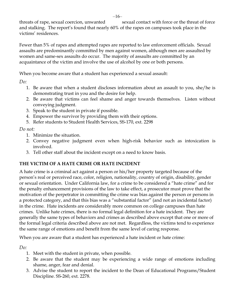threats of rape, sexual coercion, unwanted sexual contact with force or the threat of force and stalking. The report's found that nearly 60% of the rapes on campuses took place in the victims' residences.

Fewer than 5% of rapes and attempted rapes are reported to law enforcement officials. Sexual assaults are predominantly committed by men against women, although men are assaulted by women and same-sex assaults do occur. The majority of assaults are committed by an acquaintance of the victim and involve the use of alcohol by one or both persons.

When you become aware that a student has experienced a sexual assault:

*Do:* 

- 1. Be aware that when a student discloses information about an assault to you, she/he is demonstrating trust in you and the desire for help.
- 2. Be aware that victims can feel shame and anger towards themselves. Listen without conveying judgment.
- 3. Speak to the student in private if possible.
- 4. Empower the survivor by providing them with their options.
- 5. Refer students to Student Health Services, SS-170, ext. 2298

*Do not:*

- 1. Minimize the situation.
- 2. Convey negative judgment even when high-risk behavior such as intoxication is involved.
- 3. Tell other staff about the incident except on a need to know basis.

## **THE VICTIM OF A HATE CRIME OR HATE INCIDENT**

A hate crime is a criminal act against a person or his/her property targeted because of the person's real or perceived race, color, religion, nationality, country of origin, disability, gender or sexual orientation. Under California law, for a crime to be considered a "hate crime" and for the penalty enhancement provisions of the law to take effect, a prosecutor must prove that the motivation of the perpetrator in committing the crime was bias against the person or persons in a protected category, and that this bias was a "substantial factor" (and not an incidental factor) in the crime. Hate incidents are considerably more common on college campuses than hate crimes. Unlike hate crimes, there is no formal legal definition for a hate incident. They are generally the same types of behaviors and crimes as described above except that one or more of the formal legal criteria described above are not met. Regardless, the victims tend to experience the same range of emotions and benefit from the same level of caring response.

When you are aware that a student has experienced a hate incident or hate crime:

*Do:*

- 1. Meet with the student in private, when possible.
- 2. Be aware that the student may be experiencing a wide range of emotions including shame, anger, fear and denial.
- 3. Advise the student to report the incident to the Dean of Educational Programs/Student Discipline. SS-260, ext. 2278.